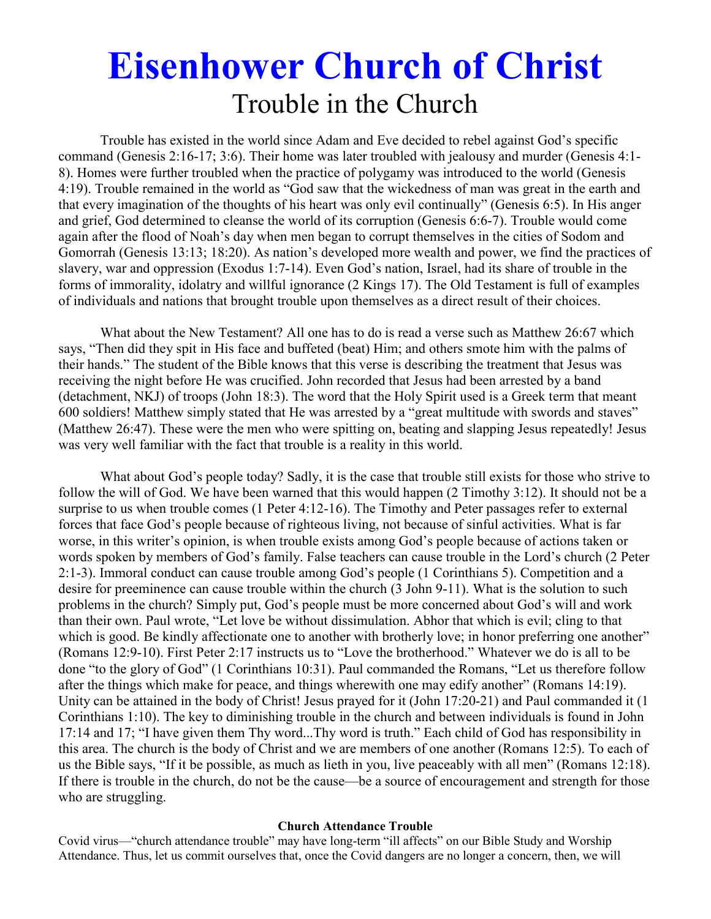# **Eisenhower Church of Christ**  Trouble in the Church

Trouble has existed in the world since Adam and Eve decided to rebel against God's specific command (Genesis 2:16-17; 3:6). Their home was later troubled with jealousy and murder (Genesis 4:1- 8). Homes were further troubled when the practice of polygamy was introduced to the world (Genesis 4:19). Trouble remained in the world as "God saw that the wickedness of man was great in the earth and that every imagination of the thoughts of his heart was only evil continually" (Genesis 6:5). In His anger and grief, God determined to cleanse the world of its corruption (Genesis 6:6-7). Trouble would come again after the flood of Noah's day when men began to corrupt themselves in the cities of Sodom and Gomorrah (Genesis 13:13; 18:20). As nation's developed more wealth and power, we find the practices of slavery, war and oppression (Exodus 1:7-14). Even God's nation, Israel, had its share of trouble in the forms of immorality, idolatry and willful ignorance (2 Kings 17). The Old Testament is full of examples of individuals and nations that brought trouble upon themselves as a direct result of their choices.

 What about the New Testament? All one has to do is read a verse such as Matthew 26:67 which says, "Then did they spit in His face and buffeted (beat) Him; and others smote him with the palms of their hands." The student of the Bible knows that this verse is describing the treatment that Jesus was receiving the night before He was crucified. John recorded that Jesus had been arrested by a band (detachment, NKJ) of troops (John 18:3). The word that the Holy Spirit used is a Greek term that meant 600 soldiers! Matthew simply stated that He was arrested by a "great multitude with swords and staves" (Matthew 26:47). These were the men who were spitting on, beating and slapping Jesus repeatedly! Jesus was very well familiar with the fact that trouble is a reality in this world.

 What about God's people today? Sadly, it is the case that trouble still exists for those who strive to follow the will of God. We have been warned that this would happen (2 Timothy 3:12). It should not be a surprise to us when trouble comes (1 Peter 4:12-16). The Timothy and Peter passages refer to external forces that face God's people because of righteous living, not because of sinful activities. What is far worse, in this writer's opinion, is when trouble exists among God's people because of actions taken or words spoken by members of God's family. False teachers can cause trouble in the Lord's church (2 Peter 2:1-3). Immoral conduct can cause trouble among God's people (1 Corinthians 5). Competition and a desire for preeminence can cause trouble within the church (3 John 9-11). What is the solution to such problems in the church? Simply put, God's people must be more concerned about God's will and work than their own. Paul wrote, "Let love be without dissimulation. Abhor that which is evil; cling to that which is good. Be kindly affectionate one to another with brotherly love; in honor preferring one another" (Romans 12:9-10). First Peter 2:17 instructs us to "Love the brotherhood." Whatever we do is all to be done "to the glory of God" (1 Corinthians 10:31). Paul commanded the Romans, "Let us therefore follow after the things which make for peace, and things wherewith one may edify another" (Romans 14:19). Unity can be attained in the body of Christ! Jesus prayed for it (John 17:20-21) and Paul commanded it (1 Corinthians 1:10). The key to diminishing trouble in the church and between individuals is found in John 17:14 and 17; "I have given them Thy word...Thy word is truth." Each child of God has responsibility in this area. The church is the body of Christ and we are members of one another (Romans 12:5). To each of us the Bible says, "If it be possible, as much as lieth in you, live peaceably with all men" (Romans 12:18). If there is trouble in the church, do not be the cause—be a source of encouragement and strength for those who are struggling.

#### **Church Attendance Trouble**

Covid virus—"church attendance trouble" may have long-term "ill affects" on our Bible Study and Worship Attendance. Thus, let us commit ourselves that, once the Covid dangers are no longer a concern, then, we will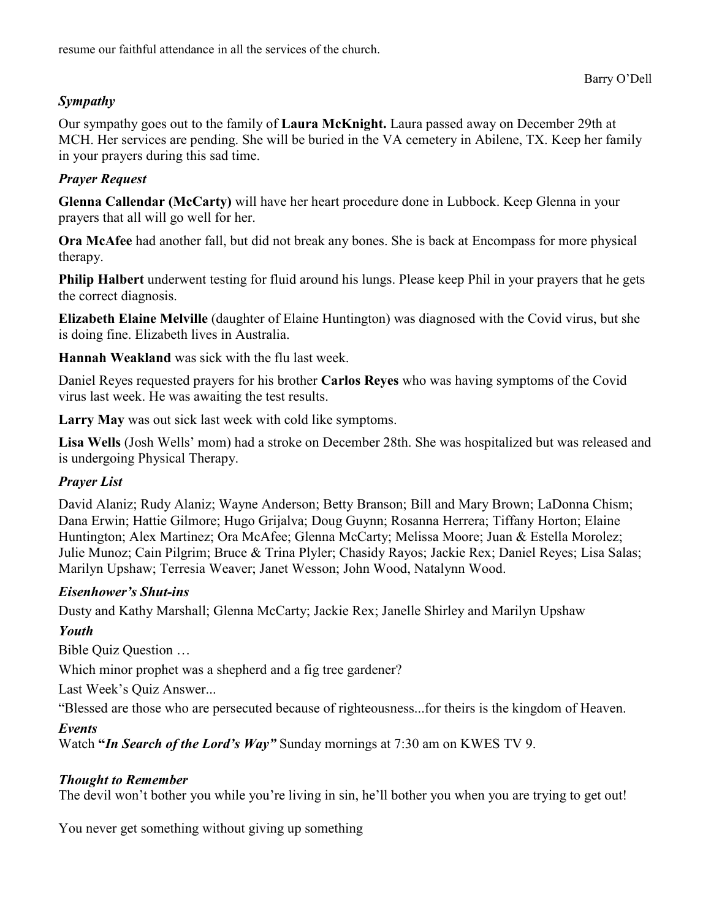resume our faithful attendance in all the services of the church.

#### Barry O'Dell

## *Sympathy*

Our sympathy goes out to the family of **Laura McKnight.** Laura passed away on December 29th at MCH. Her services are pending. She will be buried in the VA cemetery in Abilene, TX. Keep her family in your prayers during this sad time.

#### *Prayer Request*

**Glenna Callendar (McCarty)** will have her heart procedure done in Lubbock. Keep Glenna in your prayers that all will go well for her.

**Ora McAfee** had another fall, but did not break any bones. She is back at Encompass for more physical therapy.

**Philip Halbert** underwent testing for fluid around his lungs. Please keep Phil in your prayers that he gets the correct diagnosis.

**Elizabeth Elaine Melville** (daughter of Elaine Huntington) was diagnosed with the Covid virus, but she is doing fine. Elizabeth lives in Australia.

**Hannah Weakland** was sick with the flu last week.

Daniel Reyes requested prayers for his brother **Carlos Reyes** who was having symptoms of the Covid virus last week. He was awaiting the test results.

**Larry May** was out sick last week with cold like symptoms.

**Lisa Wells** (Josh Wells' mom) had a stroke on December 28th. She was hospitalized but was released and is undergoing Physical Therapy.

## *Prayer List*

David Alaniz; Rudy Alaniz; Wayne Anderson; Betty Branson; Bill and Mary Brown; LaDonna Chism; Dana Erwin; Hattie Gilmore; Hugo Grijalva; Doug Guynn; Rosanna Herrera; Tiffany Horton; Elaine Huntington; Alex Martinez; Ora McAfee; Glenna McCarty; Melissa Moore; Juan & Estella Morolez; Julie Munoz; Cain Pilgrim; Bruce & Trina Plyler; Chasidy Rayos; Jackie Rex; Daniel Reyes; Lisa Salas; Marilyn Upshaw; Terresia Weaver; Janet Wesson; John Wood, Natalynn Wood.

## *Eisenhower's Shut-ins*

Dusty and Kathy Marshall; Glenna McCarty; Jackie Rex; Janelle Shirley and Marilyn Upshaw

## *Youth*

Bible Quiz Question …

Which minor prophet was a shepherd and a fig tree gardener?

Last Week's Quiz Answer...

"Blessed are those who are persecuted because of righteousness...for theirs is the kingdom of Heaven.

## *Events*

Watch **"***In Search of the Lord's Way"* Sunday mornings at 7:30 am on KWES TV 9.

## *Thought to Remember*

The devil won't bother you while you're living in sin, he'll bother you when you are trying to get out!

You never get something without giving up something